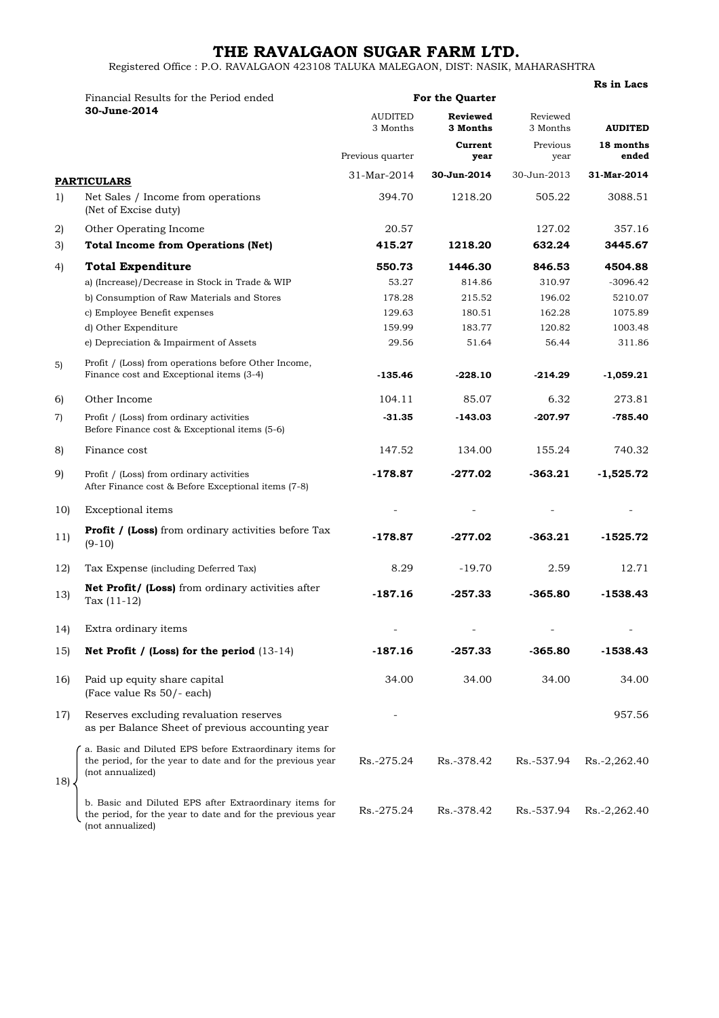## **THE RAVALGAON SUGAR FARM LTD.**

Registered Office : P.O. RAVALGAON 423108 TALUKA MALEGAON, DIST: NASIK, MAHARASHTRA

|                   |                                                                                                                                           |                                                | Rs in Lacs                                     |                                          |                                      |
|-------------------|-------------------------------------------------------------------------------------------------------------------------------------------|------------------------------------------------|------------------------------------------------|------------------------------------------|--------------------------------------|
|                   | Financial Results for the Period ended<br>30-June-2014                                                                                    | <b>For the Quarter</b>                         |                                                |                                          |                                      |
|                   |                                                                                                                                           | <b>AUDITED</b><br>3 Months<br>Previous quarter | <b>Reviewed</b><br>3 Months<br>Current<br>year | Reviewed<br>3 Months<br>Previous<br>year | <b>AUDITED</b><br>18 months<br>ended |
|                   |                                                                                                                                           |                                                |                                                |                                          |                                      |
|                   | <b>PARTICULARS</b>                                                                                                                        | 31-Mar-2014                                    | 30-Jun-2014                                    | 30-Jun-2013                              | 31-Mar-2014                          |
| 1)                | Net Sales / Income from operations<br>(Net of Excise duty)                                                                                | 394.70                                         | 1218.20                                        | 505.22                                   | 3088.51                              |
| 2)                | Other Operating Income                                                                                                                    | 20.57                                          |                                                | 127.02                                   | 357.16                               |
| 3)                | <b>Total Income from Operations (Net)</b>                                                                                                 | 415.27                                         | 1218.20                                        | 632.24                                   | 3445.67                              |
| 4)                | <b>Total Expenditure</b>                                                                                                                  | 550.73                                         | 1446.30                                        | 846.53                                   | 4504.88                              |
|                   | a) (Increase)/Decrease in Stock in Trade & WIP                                                                                            | 53.27                                          | 814.86                                         | 310.97                                   | $-3096.42$                           |
|                   | b) Consumption of Raw Materials and Stores                                                                                                | 178.28                                         | 215.52                                         | 196.02                                   | 5210.07                              |
|                   | c) Employee Benefit expenses                                                                                                              | 129.63                                         | 180.51                                         | 162.28                                   | 1075.89                              |
|                   | d) Other Expenditure                                                                                                                      | 159.99                                         | 183.77                                         | 120.82                                   | 1003.48                              |
|                   | e) Depreciation & Impairment of Assets                                                                                                    | 29.56                                          | 51.64                                          | 56.44                                    | 311.86                               |
| 5)                | Profit / (Loss) from operations before Other Income,<br>Finance cost and Exceptional items (3-4)                                          | $-135.46$                                      | $-228.10$                                      | $-214.29$                                | $-1,059.21$                          |
| 6)                | Other Income                                                                                                                              | 104.11                                         | 85.07                                          | 6.32                                     | 273.81                               |
| $\left( 7\right)$ | Profit / (Loss) from ordinary activities<br>Before Finance cost & Exceptional items (5-6)                                                 | $-31.35$                                       | $-143.03$                                      | $-207.97$                                | $-785.40$                            |
| 8)                | Finance cost                                                                                                                              | 147.52                                         | 134.00                                         | 155.24                                   | 740.32                               |
| 9)                | Profit / (Loss) from ordinary activities<br>After Finance cost & Before Exceptional items (7-8)                                           | $-178.87$                                      | -277.02                                        | $-363.21$                                | $-1,525.72$                          |
| 10)               | Exceptional items                                                                                                                         |                                                |                                                |                                          |                                      |
| 11)               | <b>Profit / (Loss)</b> from ordinary activities before Tax<br>$(9-10)$                                                                    | $-178.87$                                      | -277.02                                        | $-363.21$                                | -1525.72                             |
| 12)               | Tax Expense (including Deferred Tax)                                                                                                      | 8.29                                           | $-19.70$                                       | 2.59                                     | 12.71                                |
| 13)               | Net Profit/ (Loss) from ordinary activities after<br>Tax $(11-12)$                                                                        | $-187.16$                                      | $-257.33$                                      | $-365.80$                                | $-1538.43$                           |
| 14)               | Extra ordinary items                                                                                                                      |                                                |                                                |                                          |                                      |
| 15)               | Net Profit / (Loss) for the period $(13-14)$                                                                                              | $-187.16$                                      | $-257.33$                                      | $-365.80$                                | $-1538.43$                           |
| 16)               | Paid up equity share capital<br>(Face value Rs 50/- each)                                                                                 | 34.00                                          | 34.00                                          | 34.00                                    | 34.00                                |
| 17)               | Reserves excluding revaluation reserves<br>as per Balance Sheet of previous accounting year                                               |                                                |                                                |                                          | 957.56                               |
| 18)               | a. Basic and Diluted EPS before Extraordinary items for<br>the period, for the year to date and for the previous year<br>(not annualized) | Rs.-275.24                                     | Rs.-378.42                                     | Rs.-537.94                               | Rs.-2,262.40                         |
|                   | b. Basic and Diluted EPS after Extraordinary items for<br>the period, for the year to date and for the previous year<br>(not annualized)  | Rs.-275.24                                     | Rs.-378.42                                     | Rs.-537.94                               | Rs.-2,262.40                         |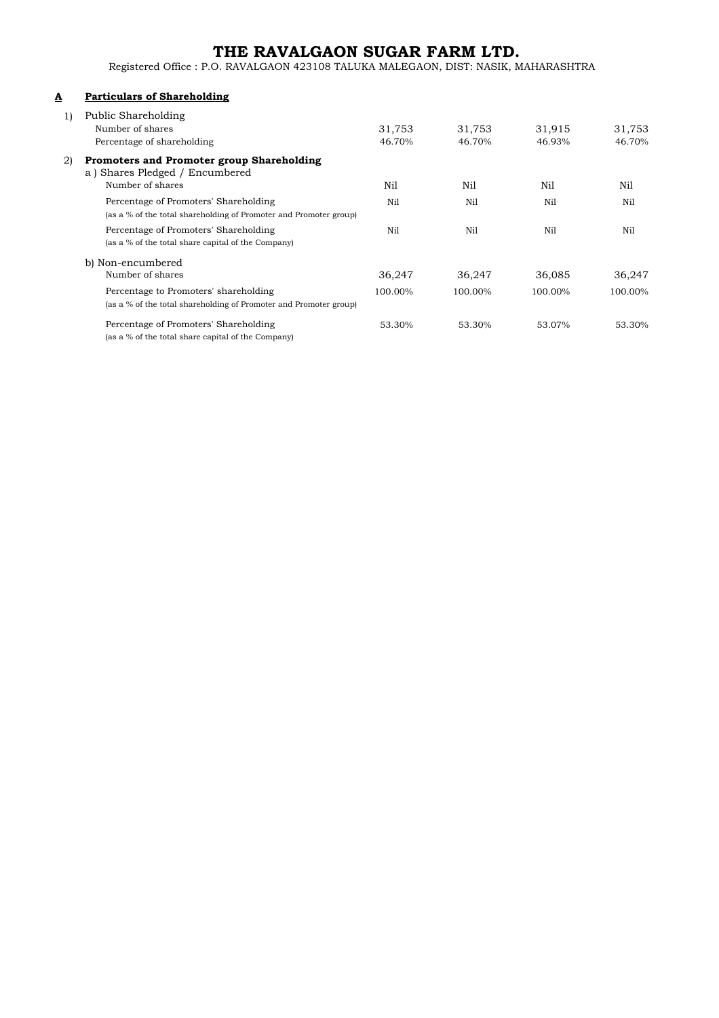## **THE RAVALGAON SUGAR FARM LTD.**

Registered Office : P.O. RAVALGAON 423108 TALUKA MALEGAON, DIST: NASIK, MAHARASHTRA

## **A Particulars of Shareholding**

|    | Public Shareholding<br>Number of shares<br>Percentage of shareholding                                      | 31,753<br>46.70% | 31,753<br>46.70% | 31,915<br>46.93% | 31,753<br>46.70% |
|----|------------------------------------------------------------------------------------------------------------|------------------|------------------|------------------|------------------|
| 2) | <b>Promoters and Promoter group Shareholding</b><br>a) Shares Pledged / Encumbered<br>Number of shares     | Nil              | Nil              | Nil              | Nil              |
|    | Percentage of Promoters' Shareholding<br>(as a % of the total shareholding of Promoter and Promoter group) | Nil              | Nil              | Nil              | Nil              |
|    | Percentage of Promoters' Shareholding<br>(as a % of the total share capital of the Company)                | Nil              | Nil              | Nil              | Nil              |
|    | b) Non-encumbered                                                                                          |                  |                  |                  |                  |
|    | Number of shares                                                                                           | 36,247           | 36,247           | 36,085           | 36,247           |
|    | Percentage to Promoters' shareholding<br>(as a % of the total shareholding of Promoter and Promoter group) | 100.00%          | 100.00%          | 100.00%          | 100.00%          |
|    | Percentage of Promoters' Shareholding<br>(as a % of the total share capital of the Company)                | 53.30%           | 53.30%           | 53.07%           | 53.30%           |